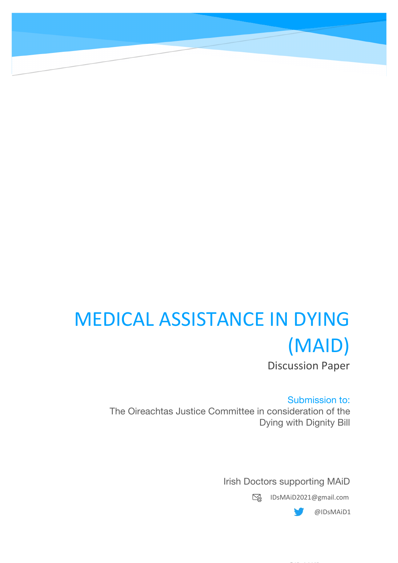# MEDICAL ASSISTANCE IN DYING (MAID) Discussion Paper

Submission to: The Oireachtas Justice Committee in consideration of the Dying with Dignity Bill

Irish Doctors supporting MAiD

IDsMAiD2021@gmail.com

@IDsMAiD

@IDsMAiD1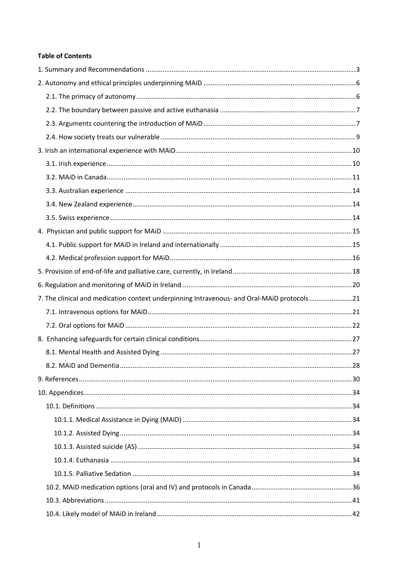# **Table of Contents**

| 7. The clinical and medication context underpinning Intravenous- and Oral-MAiD protocols21 |  |
|--------------------------------------------------------------------------------------------|--|
|                                                                                            |  |
|                                                                                            |  |
|                                                                                            |  |
|                                                                                            |  |
|                                                                                            |  |
|                                                                                            |  |
|                                                                                            |  |
|                                                                                            |  |
|                                                                                            |  |
|                                                                                            |  |
|                                                                                            |  |
|                                                                                            |  |
|                                                                                            |  |
|                                                                                            |  |
|                                                                                            |  |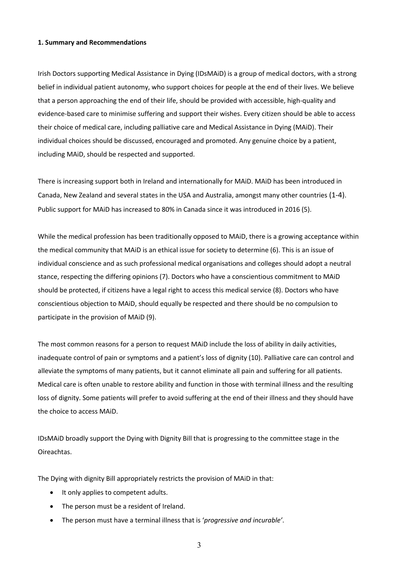#### **1. Summary and Recommendations**

Irish Doctors supporting Medical Assistance in Dying (IDsMAiD) is a group of medical doctors, with a strong belief in individual patient autonomy, who support choices for people at the end of their lives. We believe that a person approaching the end of their life, should be provided with accessible, high-quality and evidence-based care to minimise suffering and support their wishes. Every citizen should be able to access their choice of medical care, including palliative care and Medical Assistance in Dying (MAiD). Their individual choices should be discussed, encouraged and promoted. Any genuine choice by a patient, including MAiD, should be respected and supported.

There is increasing support both in Ireland and internationally for MAiD. MAiD has been introduced in Canada, New Zealand and several states in the USA and Australia, amongst many other countries (1-4). Public support for MAiD has increased to 80% in Canada since it was introduced in 2016 (5).

While the medical profession has been traditionally opposed to MAiD, there is a growing acceptance within the medical community that MAiD is an ethical issue for society to determine (6). This is an issue of individual conscience and as such professional medical organisations and colleges should adopt a neutral stance, respecting the differing opinions (7). Doctors who have a conscientious commitment to MAiD should be protected, if citizens have a legal right to access this medical service (8). Doctors who have conscientious objection to MAiD, should equally be respected and there should be no compulsion to participate in the provision of MAiD (9).

The most common reasons for a person to request MAiD include the loss of ability in daily activities, inadequate control of pain or symptoms and a patient's loss of dignity (10). Palliative care can control and alleviate the symptoms of many patients, but it cannot eliminate all pain and suffering for all patients. Medical care is often unable to restore ability and function in those with terminal illness and the resulting loss of dignity. Some patients will prefer to avoid suffering at the end of their illness and they should have the choice to access MAiD.

IDsMAiD broadly support the Dying with Dignity Bill that is progressing to the committee stage in the Oireachtas.

The Dying with dignity Bill appropriately restricts the provision of MAiD in that:

- It only applies to competent adults.
- The person must be a resident of Ireland.
- The person must have a terminal illness that is '*progressive and incurable'*.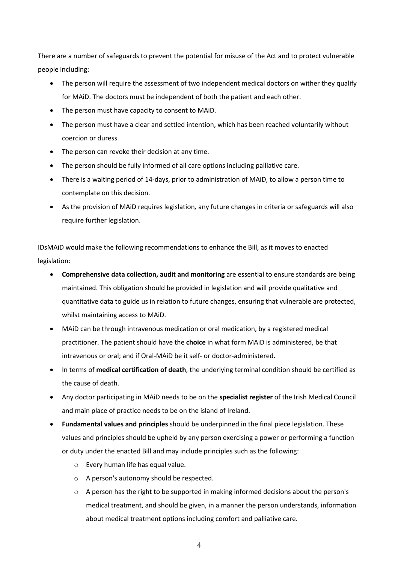There are a number of safeguards to prevent the potential for misuse of the Act and to protect vulnerable people including:

- The person will require the assessment of two independent medical doctors on wither they qualify for MAiD. The doctors must be independent of both the patient and each other.
- The person must have capacity to consent to MAID.
- The person must have a clear and settled intention, which has been reached voluntarily without coercion or duress.
- The person can revoke their decision at any time.
- The person should be fully informed of all care options including palliative care.
- There is a waiting period of 14-days, prior to administration of MAiD, to allow a person time to contemplate on this decision.
- As the provision of MAiD requires legislation*,* any future changes in criteria or safeguards will also require further legislation.

IDsMAiD would make the following recommendations to enhance the Bill, as it moves to enacted legislation:

- **Comprehensive data collection, audit and monitoring** are essential to ensure standards are being maintained. This obligation should be provided in legislation and will provide qualitative and quantitative data to guide us in relation to future changes, ensuring that vulnerable are protected, whilst maintaining access to MAiD.
- MAiD can be through intravenous medication or oral medication, by a registered medical practitioner. The patient should have the **choice** in what form MAiD is administered, be that intravenous or oral; and if Oral-MAiD be it self- or doctor-administered.
- In terms of **medical certification of death**, the underlying terminal condition should be certified as the cause of death.
- Any doctor participating in MAiD needs to be on the **specialist register** of the Irish Medical Council and main place of practice needs to be on the island of Ireland.
- **Fundamental values and principles** should be underpinned in the final piece legislation. These values and principles should be upheld by any person exercising a power or performing a function or duty under the enacted Bill and may include principles such as the following:
	- o Every human life has equal value.
	- o A person's autonomy should be respected.
	- o A person has the right to be supported in making informed decisions about the person's medical treatment, and should be given, in a manner the person understands, information about medical treatment options including comfort and palliative care.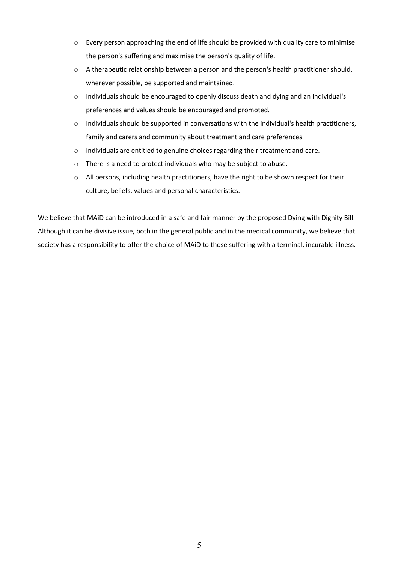- $\circ$  Every person approaching the end of life should be provided with quality care to minimise the person's suffering and maximise the person's quality of life.
- $\circ$  A therapeutic relationship between a person and the person's health practitioner should, wherever possible, be supported and maintained.
- o Individuals should be encouraged to openly discuss death and dying and an individual's preferences and values should be encouraged and promoted.
- $\circ$  Individuals should be supported in conversations with the individual's health practitioners, family and carers and community about treatment and care preferences.
- o Individuals are entitled to genuine choices regarding their treatment and care.
- o There is a need to protect individuals who may be subject to abuse.
- o All persons, including health practitioners, have the right to be shown respect for their culture, beliefs, values and personal characteristics.

We believe that MAiD can be introduced in a safe and fair manner by the proposed Dying with Dignity Bill. Although it can be divisive issue, both in the general public and in the medical community, we believe that society has a responsibility to offer the choice of MAiD to those suffering with a terminal, incurable illness.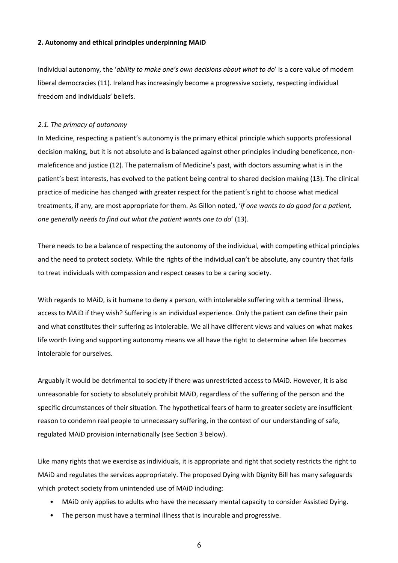#### **2. Autonomy and ethical principles underpinning MAiD**

Individual autonomy, the '*ability to make one's own decisions about what to do*' is a core value of modern liberal democracies (11). Ireland has increasingly become a progressive society, respecting individual freedom and individuals' beliefs.

#### *2.1. The primacy of autonomy*

In Medicine, respecting a patient's autonomy is the primary ethical principle which supports professional decision making, but it is not absolute and is balanced against other principles including beneficence, nonmaleficence and justice (12). The paternalism of Medicine's past, with doctors assuming what is in the patient's best interests, has evolved to the patient being central to shared decision making (13). The clinical practice of medicine has changed with greater respect for the patient's right to choose what medical treatments, if any, are most appropriate for them. As Gillon noted, '*if one wants to do good for a patient, one generally needs to find out what the patient wants one to do*' (13).

There needs to be a balance of respecting the autonomy of the individual, with competing ethical principles and the need to protect society. While the rights of the individual can't be absolute, any country that fails to treat individuals with compassion and respect ceases to be a caring society.

With regards to MAiD, is it humane to deny a person, with intolerable suffering with a terminal illness, access to MAiD if they wish? Suffering is an individual experience. Only the patient can define their pain and what constitutes their suffering as intolerable. We all have different views and values on what makes life worth living and supporting autonomy means we all have the right to determine when life becomes intolerable for ourselves.

Arguably it would be detrimental to society if there was unrestricted access to MAiD. However, it is also unreasonable for society to absolutely prohibit MAiD, regardless of the suffering of the person and the specific circumstances of their situation. The hypothetical fears of harm to greater society are insufficient reason to condemn real people to unnecessary suffering, in the context of our understanding of safe, regulated MAiD provision internationally (see Section 3 below).

Like many rights that we exercise as individuals, it is appropriate and right that society restricts the right to MAiD and regulates the services appropriately. The proposed Dying with Dignity Bill has many safeguards which protect society from unintended use of MAiD including:

- MAiD only applies to adults who have the necessary mental capacity to consider Assisted Dying.
- The person must have a terminal illness that is incurable and progressive.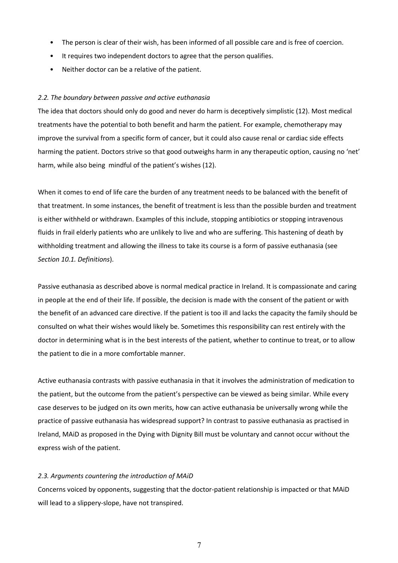- The person is clear of their wish, has been informed of all possible care and is free of coercion.
- It requires two independent doctors to agree that the person qualifies.
- Neither doctor can be a relative of the patient.

#### *2.2. The boundary between passive and active euthanasia*

The idea that doctors should only do good and never do harm is deceptively simplistic (12). Most medical treatments have the potential to both benefit and harm the patient. For example, chemotherapy may improve the survival from a specific form of cancer, but it could also cause renal or cardiac side effects harming the patient. Doctors strive so that good outweighs harm in any therapeutic option, causing no 'net' harm, while also being mindful of the patient's wishes (12).

When it comes to end of life care the burden of any treatment needs to be balanced with the benefit of that treatment. In some instances, the benefit of treatment is less than the possible burden and treatment is either withheld or withdrawn. Examples of this include, stopping antibiotics or stopping intravenous fluids in frail elderly patients who are unlikely to live and who are suffering. This hastening of death by withholding treatment and allowing the illness to take its course is a form of passive euthanasia (see *Section 10.1. Definitions*).

Passive euthanasia as described above is normal medical practice in Ireland. It is compassionate and caring in people at the end of their life. If possible, the decision is made with the consent of the patient or with the benefit of an advanced care directive. If the patient is too ill and lacks the capacity the family should be consulted on what their wishes would likely be. Sometimes this responsibility can rest entirely with the doctor in determining what is in the best interests of the patient, whether to continue to treat, or to allow the patient to die in a more comfortable manner.

Active euthanasia contrasts with passive euthanasia in that it involves the administration of medication to the patient, but the outcome from the patient's perspective can be viewed as being similar. While every case deserves to be judged on its own merits, how can active euthanasia be universally wrong while the practice of passive euthanasia has widespread support? In contrast to passive euthanasia as practised in Ireland, MAiD as proposed in the Dying with Dignity Bill must be voluntary and cannot occur without the express wish of the patient.

#### *2.3. Arguments countering the introduction of MAiD*

Concerns voiced by opponents, suggesting that the doctor-patient relationship is impacted or that MAiD will lead to a slippery-slope, have not transpired.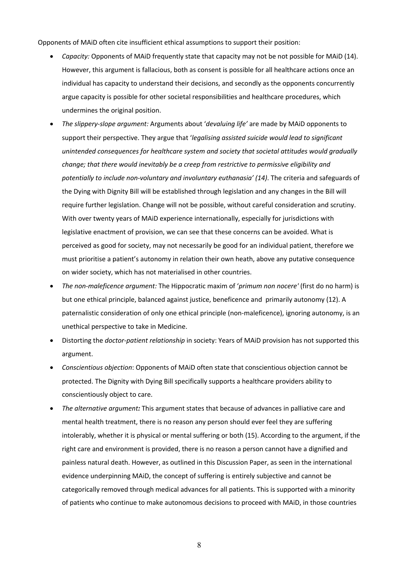Opponents of MAiD often cite insufficient ethical assumptions to support their position:

- *Capacity:* Opponents of MAiD frequently state that capacity may not be not possible for MAiD (14). However, this argument is fallacious, both as consent is possible for all healthcare actions once an individual has capacity to understand their decisions, and secondly as the opponents concurrently argue capacity is possible for other societal responsibilities and healthcare procedures, which undermines the original position.
- *The slippery-slope argument:* Arguments about '*devaluing life'* are made by MAiD opponents to support their perspective. They argue that '*legalising assisted suicide would lead to significant unintended consequences for healthcare system and society that societal attitudes would gradually change; that there would inevitably be a creep from restrictive to permissive eligibility and potentially to include non-voluntary and involuntary euthanasia' (14)*. The criteria and safeguards of the Dying with Dignity Bill will be established through legislation and any changes in the Bill will require further legislation. Change will not be possible, without careful consideration and scrutiny. With over twenty years of MAiD experience internationally, especially for jurisdictions with legislative enactment of provision, we can see that these concerns can be avoided. What is perceived as good for society, may not necessarily be good for an individual patient, therefore we must prioritise a patient's autonomy in relation their own heath, above any putative consequence on wider society, which has not materialised in other countries.
- *The non-maleficence argument:* The Hippocratic maxim of '*primum non nocere'* (first do no harm) is but one ethical principle, balanced against justice, beneficence and primarily autonomy (12). A paternalistic consideration of only one ethical principle (non-maleficence), ignoring autonomy, is an unethical perspective to take in Medicine.
- Distorting the *doctor-patient relationship* in society: Years of MAiD provision has not supported this argument.
- *Conscientious objection*: Opponents of MAiD often state that conscientious objection cannot be protected. The Dignity with Dying Bill specifically supports a healthcare providers ability to conscientiously object to care.
- *The alternative argument:* This argument states that because of advances in palliative care and mental health treatment, there is no reason any person should ever feel they are suffering intolerably, whether it is physical or mental suffering or both (15). According to the argument, if the right care and environment is provided, there is no reason a person cannot have a dignified and painless natural death. However, as outlined in this Discussion Paper, as seen in the international evidence underpinning MAiD, the concept of suffering is entirely subjective and cannot be categorically removed through medical advances for all patients. This is supported with a minority of patients who continue to make autonomous decisions to proceed with MAiD, in those countries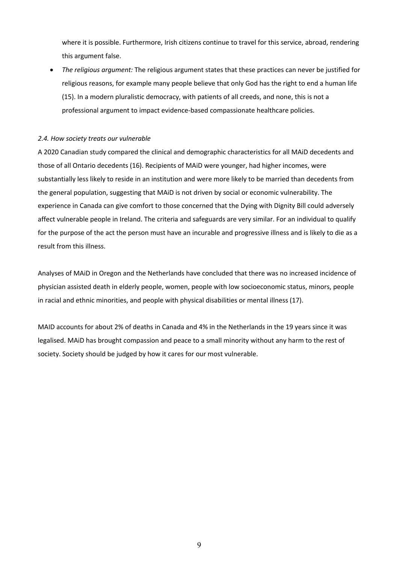where it is possible. Furthermore, Irish citizens continue to travel for this service, abroad, rendering this argument false.

• *The religious argument:* The religious argument states that these practices can never be justified for religious reasons, for example many people believe that only God has the right to end a human life (15). In a modern pluralistic democracy, with patients of all creeds, and none, this is not a professional argument to impact evidence-based compassionate healthcare policies.

#### *2.4. How society treats our vulnerable*

A 2020 Canadian study compared the clinical and demographic characteristics for all MAiD decedents and those of all Ontario decedents (16). Recipients of MAiD were younger, had higher incomes, were substantially less likely to reside in an institution and were more likely to be married than decedents from the general population, suggesting that MAiD is not driven by social or economic vulnerability. The experience in Canada can give comfort to those concerned that the Dying with Dignity Bill could adversely affect vulnerable people in Ireland. The criteria and safeguards are very similar. For an individual to qualify for the purpose of the act the person must have an incurable and progressive illness and is likely to die as a result from this illness.

Analyses of MAiD in Oregon and the Netherlands have concluded that there was no increased incidence of physician assisted death in elderly people, women, people with low socioeconomic status, minors, people in racial and ethnic minorities, and people with physical disabilities or mental illness (17).

MAID accounts for about 2% of deaths in Canada and 4% in the Netherlands in the 19 years since it was legalised. MAiD has brought compassion and peace to a small minority without any harm to the rest of society. Society should be judged by how it cares for our most vulnerable.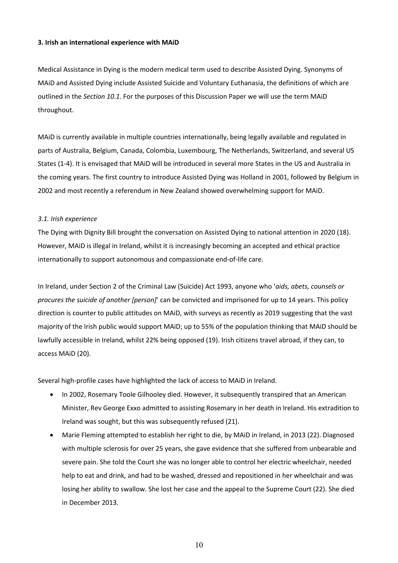#### **3. Irish an international experience with MAiD**

Medical Assistance in Dying is the modern medical term used to describe Assisted Dying. Synonyms of MAiD and Assisted Dying include Assisted Suicide and Voluntary Euthanasia, the definitions of which are outlined in the *Section 10.1*. For the purposes of this Discussion Paper we will use the term MAiD throughout.

MAiD is currently available in multiple countries internationally, being legally available and regulated in parts of Australia, Belgium, Canada, Colombia, Luxembourg, The Netherlands, Switzerland, and several US States (1-4). It is envisaged that MAiD will be introduced in several more States in the US and Australia in the coming years. The first country to introduce Assisted Dying was Holland in 2001, followed by Belgium in 2002 and most recently a referendum in New Zealand showed overwhelming support for MAiD.

#### *3.1. Irish experience*

The Dying with Dignity Bill brought the conversation on Assisted Dying to national attention in 2020 (18). However, MAiD is illegal in Ireland, whilst it is increasingly becoming an accepted and ethical practice internationally to support autonomous and compassionate end-of-life care.

In Ireland, under Section 2 of the Criminal Law (Suicide) Act 1993, anyone who '*aids, abets, counsels or procures the suicide of another [person]*' can be convicted and imprisoned for up to 14 years. This policy direction is counter to public attitudes on MAiD, with surveys as recently as 2019 suggesting that the vast majority of the Irish public would support MAiD; up to 55% of the population thinking that MAiD should be lawfully accessible in Ireland, whilst 22% being opposed (19). Irish citizens travel abroad, if they can, to access MAiD (20).

Several high-profile cases have highlighted the lack of access to MAiD in Ireland.

- In 2002, Rosemary Toole Gilhooley died. However, it subsequently transpired that an American Minister, Rev George Exxo admitted to assisting Rosemary in her death in Ireland. His extradition to Ireland was sought, but this was subsequently refused (21).
- Marie Fleming attempted to establish her right to die, by MAiD in Ireland, in 2013 (22). Diagnosed with multiple sclerosis for over 25 years, she gave evidence that she suffered from unbearable and severe pain. She told the Court she was no longer able to control her electric wheelchair, needed help to eat and drink, and had to be washed, dressed and repositioned in her wheelchair and was losing her ability to swallow. She lost her case and the appeal to the Supreme Court (22). She died in December 2013.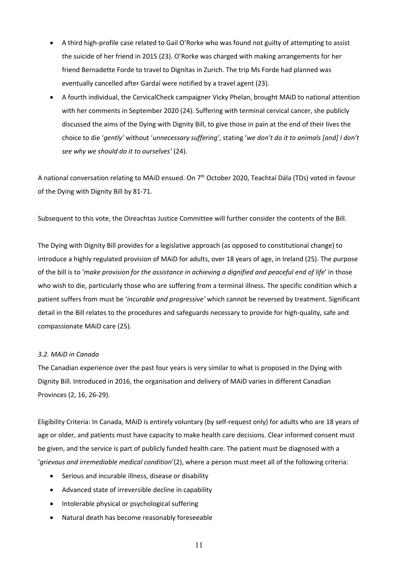- A third high-profile case related to Gail O'Rorke who was found not guilty of attempting to assist the suicide of her friend in 2015 (23). O'Rorke was charged with making arrangements for her friend Bernadette Forde to travel to Dignitas in Zurich. The trip Ms Forde had planned was eventually cancelled after Gardaí were notified by a travel agent (23).
- A fourth individual, the CervicalCheck campaigner Vicky Phelan, brought MAiD to national attention with her comments in September 2020 (24). Suffering with terminal cervical cancer, she publicly discussed the aims of the Dying with Dignity Bill, to give those in pain at the end of their lives the choice to die '*gently'* without '*unnecessary suffering'*, stating '*we don't do it to animals [and] I don't see why we should do it to ourselves'* (24).

A national conversation relating to MAiD ensued. On 7<sup>th</sup> October 2020, Teachtaí Dála (TDs) voted in favour of the Dying with Dignity Bill by 81-71.

Subsequent to this vote, the Oireachtas Justice Committee will further consider the contents of the Bill.

The Dying with Dignity Bill provides for a legislative approach (as opposed to constitutional change) to introduce a highly regulated provision of MAiD for adults, over 18 years of age, in Ireland (25). The purpose of the bill is to '*make provision for the assistance in achieving a dignified and peaceful end of life*' in those who wish to die, particularly those who are suffering from a terminal illness. The specific condition which a patient suffers from must be '*incurable and progressive'* which cannot be reversed by treatment*.* Significant detail in the Bill relates to the procedures and safeguards necessary to provide for high-quality, safe and compassionate MAiD care (25).

#### *3.2. MAiD in Canada*

The Canadian experience over the past four years is very similar to what is proposed in the Dying with Dignity Bill. Introduced in 2016, the organisation and delivery of MAiD varies in different Canadian Provinces (2, 16, 26-29).

Eligibility Criteria: In Canada, MAiD is entirely voluntary (by self-request only) for adults who are 18 years of age or older, and patients must have capacity to make health care decisions. Clear informed consent must be given, and the service is part of publicly funded health care. The patient must be diagnosed with a '*grievous and irremediable medical condition*'(2), where a person must meet all of the following criteria:

- Serious and incurable illness, disease or disability
- Advanced state of irreversible decline in capability
- Intolerable physical or psychological suffering
- Natural death has become reasonably foreseeable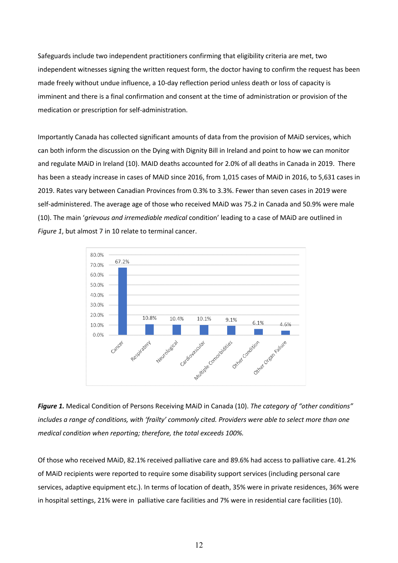Safeguards include two independent practitioners confirming that eligibility criteria are met, two independent witnesses signing the written request form, the doctor having to confirm the request has been made freely without undue influence, a 10-day reflection period unless death or loss of capacity is imminent and there is a final confirmation and consent at the time of administration or provision of the medication or prescription for self-administration.

Importantly Canada has collected significant amounts of data from the provision of MAiD services, which can both inform the discussion on the Dying with Dignity Bill in Ireland and point to how we can monitor and regulate MAiD in Ireland (10). MAID deaths accounted for 2.0% of all deaths in Canada in 2019. There has been a steady increase in cases of MAiD since 2016, from 1,015 cases of MAiD in 2016, to 5,631 cases in 2019. Rates vary between Canadian Provinces from 0.3% to 3.3%. Fewer than seven cases in 2019 were self-administered. The average age of those who received MAiD was 75.2 in Canada and 50.9% were male (10). The main '*grievous and irremediable medical* condition' leading to a case of MAiD are outlined in *Figure 1*, but almost 7 in 10 relate to terminal cancer.



*Figure 1.* Medical Condition of Persons Receiving MAiD in Canada (10). *The category of "other conditions" includes a range of conditions, with 'frailty' commonly cited. Providers were able to select more than one medical condition when reporting; therefore, the total exceeds 100%.*

Of those who received MAiD, 82.1% received palliative care and 89.6% had access to palliative care. 41.2% of MAiD recipients were reported to require some disability support services (including personal care services, adaptive equipment etc.). In terms of location of death, 35% were in private residences, 36% were in hospital settings, 21% were in palliative care facilities and 7% were in residential care facilities (10).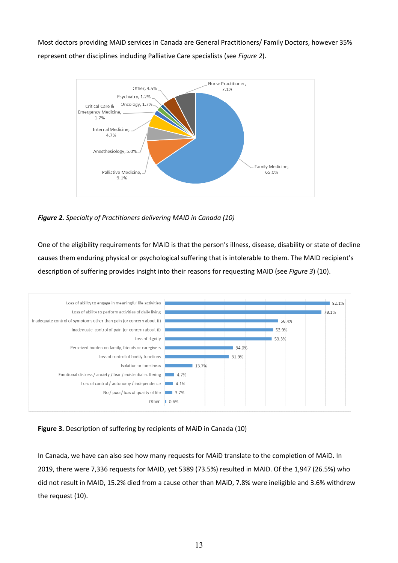Most doctors providing MAiD services in Canada are General Practitioners/ Family Doctors, however 35% represent other disciplines including Palliative Care specialists (see *Figure 2*).



*Figure 2. Specialty of Practitioners delivering MAID in Canada (10)*

One of the eligibility requirements for MAID is that the person's illness, disease, disability or state of decline causes them enduring physical or psychological suffering that is intolerable to them. The MAID recipient's description of suffering provides insight into their reasons for requesting MAID (see *Figure 3*) (10).



**Figure 3.** Description of suffering by recipients of MAiD in Canada (10)

In Canada, we have can also see how many requests for MAiD translate to the completion of MAiD. In 2019, there were 7,336 requests for MAID, yet 5389 (73.5%) resulted in MAID. Of the 1,947 (26.5%) who did not result in MAID, 15.2% died from a cause other than MAiD, 7.8% were ineligible and 3.6% withdrew the request (10).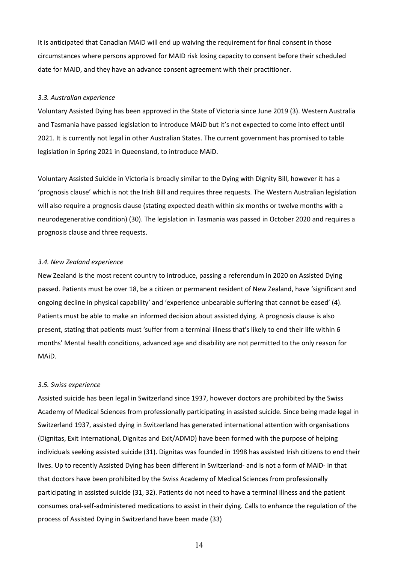It is anticipated that Canadian MAiD will end up waiving the requirement for final consent in those circumstances where persons approved for MAID risk losing capacity to consent before their scheduled date for MAID, and they have an advance consent agreement with their practitioner.

#### *3.3. Australian experience*

Voluntary Assisted Dying has been approved in the State of Victoria since June 2019 (3). Western Australia and Tasmania have passed legislation to introduce MAiD but it's not expected to come into effect until 2021. It is currently not legal in other Australian States. The current government has promised to table legislation in Spring 2021 in Queensland, to introduce MAiD.

Voluntary Assisted Suicide in Victoria is broadly similar to the Dying with Dignity Bill, however it has a 'prognosis clause' which is not the Irish Bill and requires three requests. The Western Australian legislation will also require a prognosis clause (stating expected death within six months or twelve months with a neurodegenerative condition) (30). The legislation in Tasmania was passed in October 2020 and requires a prognosis clause and three requests.

#### *3.4. New Zealand experience*

New Zealand is the most recent country to introduce, passing a referendum in 2020 on Assisted Dying passed. Patients must be over 18, be a citizen or permanent resident of New Zealand, have 'significant and ongoing decline in physical capability' and 'experience unbearable suffering that cannot be eased' (4). Patients must be able to make an informed decision about assisted dying. A prognosis clause is also present, stating that patients must 'suffer from a terminal illness that's likely to end their life within 6 months' Mental health conditions, advanced age and disability are not permitted to the only reason for MAiD.

#### *3.5. Swiss experience*

Assisted suicide has been legal in Switzerland since 1937, however doctors are prohibited by the Swiss Academy of Medical Sciences from professionally participating in assisted suicide. Since being made legal in Switzerland 1937, assisted dying in Switzerland has generated international attention with organisations (Dignitas, Exit International, Dignitas and Exit/ADMD) have been formed with the purpose of helping individuals seeking assisted suicide (31). Dignitas was founded in 1998 has assisted Irish citizens to end their lives. Up to recently Assisted Dying has been different in Switzerland- and is not a form of MAiD- in that that doctors have been prohibited by the Swiss Academy of Medical Sciences from professionally participating in assisted suicide (31, 32). Patients do not need to have a terminal illness and the patient consumes oral-self-administered medications to assist in their dying. Calls to enhance the regulation of the process of Assisted Dying in Switzerland have been made (33)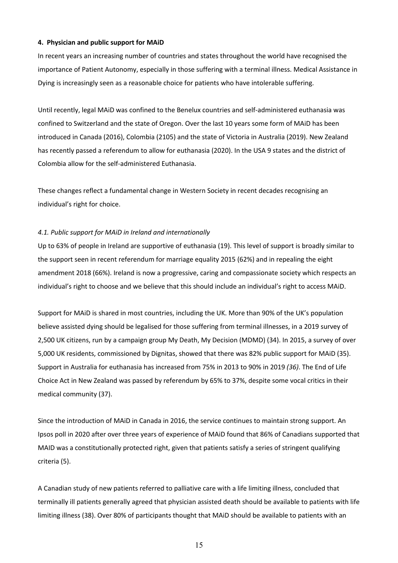#### **4. Physician and public support for MAiD**

In recent years an increasing number of countries and states throughout the world have recognised the importance of Patient Autonomy, especially in those suffering with a terminal illness. Medical Assistance in Dying is increasingly seen as a reasonable choice for patients who have intolerable suffering.

Until recently, legal MAiD was confined to the Benelux countries and self-administered euthanasia was confined to Switzerland and the state of Oregon. Over the last 10 years some form of MAiD has been introduced in Canada (2016), Colombia (2105) and the state of Victoria in Australia (2019). New Zealand has recently passed a referendum to allow for euthanasia (2020). In the USA 9 states and the district of Colombia allow for the self-administered Euthanasia.

These changes reflect a fundamental change in Western Society in recent decades recognising an individual's right for choice.

#### *4.1. Public support for MAiD in Ireland and internationally*

Up to 63% of people in Ireland are supportive of euthanasia (19). This level of support is broadly similar to the support seen in recent referendum for marriage equality 2015 (62%) and in repealing the eight amendment 2018 (66%). Ireland is now a progressive, caring and compassionate society which respects an individual's right to choose and we believe that this should include an individual's right to access MAiD.

Support for MAiD is shared in most countries, including the UK. More than 90% of the UK's population believe assisted dying should be legalised for those suffering from terminal illnesses, in a 2019 survey of 2,500 UK citizens, run by a campaign group My Death, My Decision (MDMD) (34). In 2015, a survey of over 5,000 UK residents, commissioned by Dignitas, showed that there was 82% public support for MAiD (35). Support in Australia for euthanasia has increased from 75% in 2013 to 90% in 2019 *(36)*. The End of Life Choice Act in New Zealand was passed by referendum by 65% to 37%, despite some vocal critics in their medical community (37).

Since the introduction of MAiD in Canada in 2016, the service continues to maintain strong support. An Ipsos poll in 2020 after over three years of experience of MAiD found that 86% of Canadians supported that MAID was a constitutionally protected right, given that patients satisfy a series of stringent qualifying criteria (5).

A Canadian study of new patients referred to palliative care with a life limiting illness, concluded that terminally ill patients generally agreed that physician assisted death should be available to patients with life limiting illness (38). Over 80% of participants thought that MAiD should be available to patients with an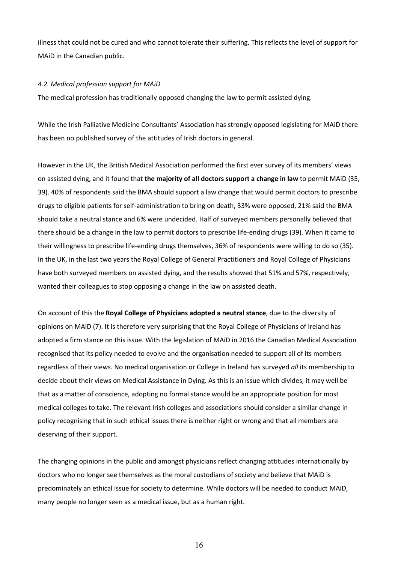illness that could not be cured and who cannot tolerate their suffering. This reflects the level of support for MAiD in the Canadian public.

#### *4.2. Medical profession support for MAiD*

The medical profession has traditionally opposed changing the law to permit assisted dying.

While the Irish Palliative Medicine Consultants' Association has strongly opposed legislating for MAiD there has been no published survey of the attitudes of Irish doctors in general.

However in the UK, the British Medical Association performed the first ever survey of its members' views on assisted dying, and it found that **the majority of all doctors support a change in law** to permit MAiD (35, 39). 40% of respondents said the BMA should support a law change that would permit doctors to prescribe drugs to eligible patients for self-administration to bring on death, 33% were opposed, 21% said the BMA should take a neutral stance and 6% were undecided. Half of surveyed members personally believed that there should be a change in the law to permit doctors to prescribe life-ending drugs (39). When it came to their willingness to prescribe life-ending drugs themselves, 36% of respondents were willing to do so (35). In the UK, in the last two years the Royal College of General Practitioners and Royal College of Physicians have both surveyed members on assisted dying, and the results showed that 51% and 57%, respectively, wanted their colleagues to stop opposing a change in the law on assisted death.

On account of this the **Royal College of Physicians adopted a neutral stance**, due to the diversity of opinions on MAiD (7). It is therefore very surprising that the Royal College of Physicians of Ireland has adopted a firm stance on this issue. With the legislation of MAiD in 2016 the Canadian Medical Association recognised that its policy needed to evolve and the organisation needed to support all of its members regardless of their views. No medical organisation or College in Ireland has surveyed *all* its membership to decide about their views on Medical Assistance in Dying. As this is an issue which divides, it may well be that as a matter of conscience, adopting no formal stance would be an appropriate position for most medical colleges to take. The relevant Irish colleges and associations should consider a similar change in policy recognising that in such ethical issues there is neither right or wrong and that all members are deserving of their support.

The changing opinions in the public and amongst physicians reflect changing attitudes internationally by doctors who no longer see themselves as the moral custodians of society and believe that MAiD is predominately an ethical issue for society to determine. While doctors will be needed to conduct MAiD, many people no longer seen as a medical issue, but as a human right.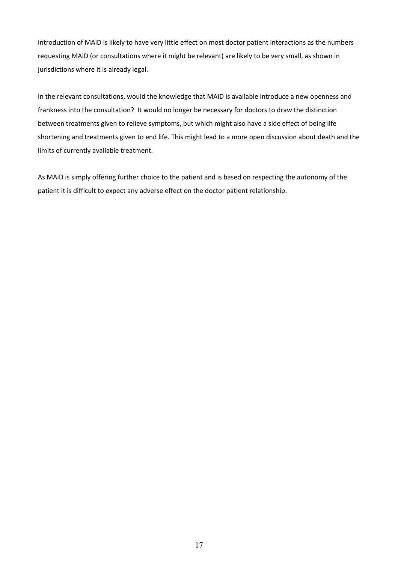Introduction of MAiD is likely to have very little effect on most doctor patient interactions as the numbers requesting MAiD (or consultations where it might be relevant) are likely to be very small, as shown in jurisdictions where it is already legal.

In the relevant consultations, would the knowledge that MAiD is available introduce a new openness and frankness into the consultation? It would no longer be necessary for doctors to draw the distinction between treatments given to relieve symptoms, but which might also have a side effect of being life shortening and treatments given to end life. This might lead to a more open discussion about death and the limits of currently available treatment.

As MAiD is simply offering further choice to the patient and is based on respecting the autonomy of the patient it is difficult to expect any adverse effect on the doctor patient relationship.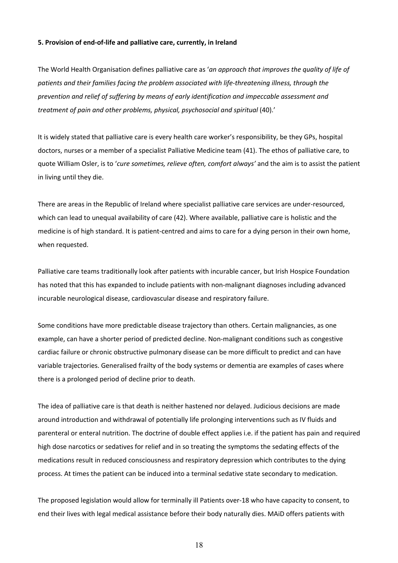#### **5. Provision of end-of-life and palliative care, currently, in Ireland**

The World Health Organisation defines palliative care as '*an approach that improves the quality of life of patients and their families facing the problem associated with life-threatening illness, through the prevention and relief of suffering by means of early identification and impeccable assessment and treatment of pain and other problems, physical, psychosocial and spiritual* (40).'

It is widely stated that palliative care is every health care worker's responsibility, be they GPs, hospital doctors, nurses or a member of a specialist Palliative Medicine team (41). The ethos of palliative care, to quote William Osler, is to '*cure sometimes, relieve often, comfort always'* and the aim is to assist the patient in living until they die.

There are areas in the Republic of Ireland where specialist palliative care services are under-resourced, which can lead to unequal availability of care (42). Where available, palliative care is holistic and the medicine is of high standard. It is patient-centred and aims to care for a dying person in their own home, when requested.

Palliative care teams traditionally look after patients with incurable cancer, but Irish Hospice Foundation has noted that this has expanded to include patients with non-malignant diagnoses including advanced incurable neurological disease, cardiovascular disease and respiratory failure.

Some conditions have more predictable disease trajectory than others. Certain malignancies, as one example, can have a shorter period of predicted decline. Non-malignant conditions such as congestive cardiac failure or chronic obstructive pulmonary disease can be more difficult to predict and can have variable trajectories. Generalised frailty of the body systems or dementia are examples of cases where there is a prolonged period of decline prior to death.

The idea of palliative care is that death is neither hastened nor delayed. Judicious decisions are made around introduction and withdrawal of potentially life prolonging interventions such as IV fluids and parenteral or enteral nutrition. The doctrine of double effect applies i.e. if the patient has pain and required high dose narcotics or sedatives for relief and in so treating the symptoms the sedating effects of the medications result in reduced consciousness and respiratory depression which contributes to the dying process. At times the patient can be induced into a terminal sedative state secondary to medication.

The proposed legislation would allow for terminally ill Patients over-18 who have capacity to consent, to end their lives with legal medical assistance before their body naturally dies. MAiD offers patients with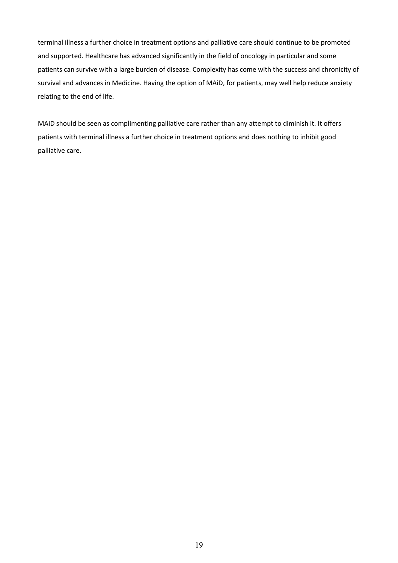terminal illness a further choice in treatment options and palliative care should continue to be promoted and supported. Healthcare has advanced significantly in the field of oncology in particular and some patients can survive with a large burden of disease. Complexity has come with the success and chronicity of survival and advances in Medicine. Having the option of MAiD, for patients, may well help reduce anxiety relating to the end of life.

MAiD should be seen as complimenting palliative care rather than any attempt to diminish it. It offers patients with terminal illness a further choice in treatment options and does nothing to inhibit good palliative care.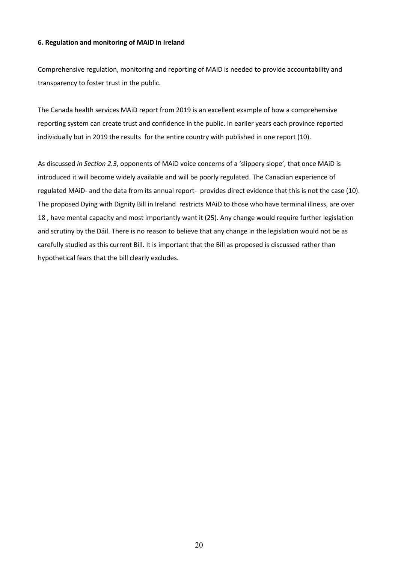#### **6. Regulation and monitoring of MAiD in Ireland**

Comprehensive regulation, monitoring and reporting of MAiD is needed to provide accountability and transparency to foster trust in the public.

The Canada health services MAiD report from 2019 is an excellent example of how a comprehensive reporting system can create trust and confidence in the public. In earlier years each province reported individually but in 2019 the results for the entire country with published in one report (10).

As discussed *in Section 2.3*, opponents of MAiD voice concerns of a 'slippery slope', that once MAiD is introduced it will become widely available and will be poorly regulated. The Canadian experience of regulated MAiD- and the data from its annual report- provides direct evidence that this is not the case (10). The proposed Dying with Dignity Bill in Ireland restricts MAiD to those who have terminal illness, are over 18 , have mental capacity and most importantly want it (25). Any change would require further legislation and scrutiny by the Dáil. There is no reason to believe that any change in the legislation would not be as carefully studied as this current Bill. It is important that the Bill as proposed is discussed rather than hypothetical fears that the bill clearly excludes.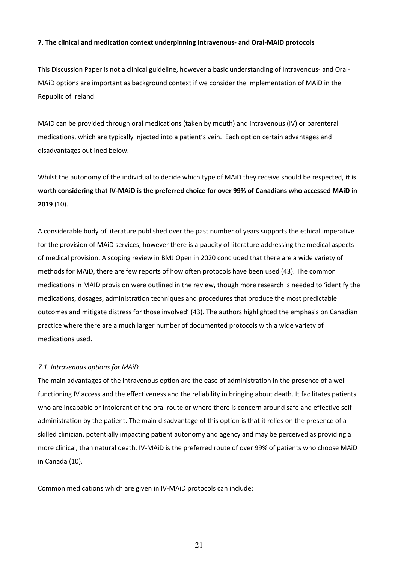#### **7. The clinical and medication context underpinning Intravenous- and Oral-MAiD protocols**

This Discussion Paper is not a clinical guideline, however a basic understanding of Intravenous- and Oral-MAiD options are important as background context if we consider the implementation of MAiD in the Republic of Ireland.

MAiD can be provided through oral medications (taken by mouth) and intravenous (IV) or parenteral medications, which are typically injected into a patient's vein. Each option certain advantages and disadvantages outlined below.

Whilst the autonomy of the individual to decide which type of MAiD they receive should be respected, **it is worth considering that IV-MAiD is the preferred choice for over 99% of Canadians who accessed MAiD in 2019** (10).

A considerable body of literature published over the past number of years supports the ethical imperative for the provision of MAiD services, however there is a paucity of literature addressing the medical aspects of medical provision. A scoping review in BMJ Open in 2020 concluded that there are a wide variety of methods for MAiD, there are few reports of how often protocols have been used (43). The common medications in MAID provision were outlined in the review, though more research is needed to 'identify the medications, dosages, administration techniques and procedures that produce the most predictable outcomes and mitigate distress for those involved' (43). The authors highlighted the emphasis on Canadian practice where there are a much larger number of documented protocols with a wide variety of medications used.

#### *7.1. Intravenous options for MAiD*

The main advantages of the intravenous option are the ease of administration in the presence of a wellfunctioning IV access and the effectiveness and the reliability in bringing about death. It facilitates patients who are incapable or intolerant of the oral route or where there is concern around safe and effective selfadministration by the patient. The main disadvantage of this option is that it relies on the presence of a skilled clinician, potentially impacting patient autonomy and agency and may be perceived as providing a more clinical, than natural death. IV-MAiD is the preferred route of over 99% of patients who choose MAiD in Canada (10).

Common medications which are given in IV-MAiD protocols can include: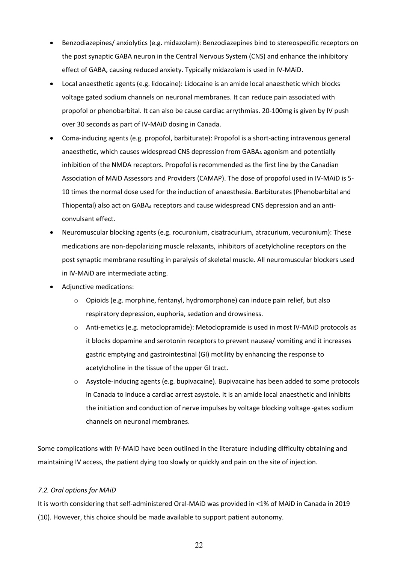- Benzodiazepines/ anxiolytics (e.g. midazolam): Benzodiazepines bind to stereospecific receptors on the post synaptic GABA neuron in the Central Nervous System (CNS) and enhance the inhibitory effect of GABA, causing reduced anxiety. Typically midazolam is used in IV-MAiD.
- Local anaesthetic agents (e.g. lidocaine): Lidocaine is an amide local anaesthetic which blocks voltage gated sodium channels on neuronal membranes. It can reduce pain associated with propofol or phenobarbital. It can also be cause cardiac arrythmias. 20-100mg is given by IV push over 30 seconds as part of IV-MAiD dosing in Canada.
- Coma-inducing agents (e.g. propofol, barbiturate): Propofol is a short-acting intravenous general anaesthetic, which causes widespread CNS depression from GABAA agonism and potentially inhibition of the NMDA receptors. Propofol is recommended as the first line by the Canadian Association of MAiD Assessors and Providers (CAMAP). The dose of propofol used in IV-MAiD is 5- 10 times the normal dose used for the induction of anaesthesia. Barbiturates (Phenobarbital and Thiopental) also act on GABA<sub>A</sub> receptors and cause widespread CNS depression and an anticonvulsant effect.
- Neuromuscular blocking agents (e.g. rocuronium, cisatracurium, atracurium, vecuronium): These medications are non-depolarizing muscle relaxants, inhibitors of acetylcholine receptors on the post synaptic membrane resulting in paralysis of skeletal muscle. All neuromuscular blockers used in IV-MAiD are intermediate acting.
- Adjunctive medications:
	- o Opioids (e.g. morphine, fentanyl, hydromorphone) can induce pain relief, but also respiratory depression, euphoria, sedation and drowsiness.
	- o Anti-emetics (e.g. metoclopramide): Metoclopramide is used in most IV-MAiD protocols as it blocks dopamine and serotonin receptors to prevent nausea/ vomiting and it increases gastric emptying and gastrointestinal (GI) motility by enhancing the response to acetylcholine in the tissue of the upper GI tract.
	- o Asystole-inducing agents (e.g. bupivacaine). Bupivacaine has been added to some protocols in Canada to induce a cardiac arrest asystole. It is an amide local anaesthetic and inhibits the initiation and conduction of nerve impulses by voltage blocking voltage -gates sodium channels on neuronal membranes.

Some complications with IV-MAiD have been outlined in the literature including difficulty obtaining and maintaining IV access, the patient dying too slowly or quickly and pain on the site of injection.

#### *7.2. Oral options for MAiD*

It is worth considering that self-administered Oral-MAiD was provided in <1% of MAiD in Canada in 2019 (10). However, this choice should be made available to support patient autonomy.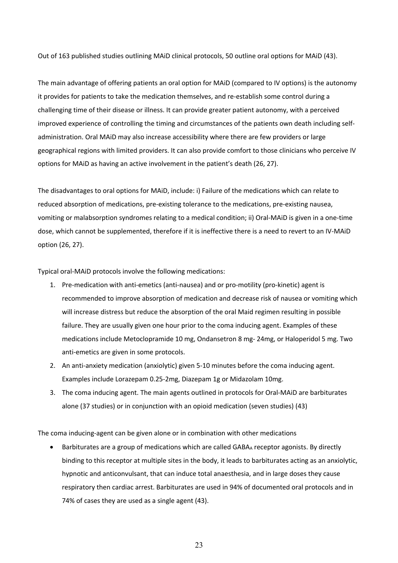Out of 163 published studies outlining MAiD clinical protocols, 50 outline oral options for MAiD (43).

The main advantage of offering patients an oral option for MAiD (compared to IV options) is the autonomy it provides for patients to take the medication themselves, and re-establish some control during a challenging time of their disease or illness. It can provide greater patient autonomy, with a perceived improved experience of controlling the timing and circumstances of the patients own death including selfadministration. Oral MAiD may also increase accessibility where there are few providers or large geographical regions with limited providers. It can also provide comfort to those clinicians who perceive IV options for MAiD as having an active involvement in the patient's death (26, 27).

The disadvantages to oral options for MAiD, include: i) Failure of the medications which can relate to reduced absorption of medications, pre-existing tolerance to the medications, pre-existing nausea, vomiting or malabsorption syndromes relating to a medical condition; ii) Oral-MAiD is given in a one-time dose, which cannot be supplemented, therefore if it is ineffective there is a need to revert to an IV-MAiD option (26, 27).

Typical oral-MAiD protocols involve the following medications:

- 1. Pre-medication with anti-emetics (anti-nausea) and or pro-motility (pro-kinetic) agent is recommended to improve absorption of medication and decrease risk of nausea or vomiting which will increase distress but reduce the absorption of the oral Maid regimen resulting in possible failure. They are usually given one hour prior to the coma inducing agent. Examples of these medications include Metoclopramide 10 mg, Ondansetron 8 mg- 24mg, or Haloperidol 5 mg. Two anti-emetics are given in some protocols.
- 2. An anti-anxiety medication (anxiolytic) given 5-10 minutes before the coma inducing agent. Examples include Lorazepam 0.25-2mg, Diazepam 1g or Midazolam 10mg.
- 3. The coma inducing agent. The main agents outlined in protocols for Oral-MAiD are barbiturates alone (37 studies) or in conjunction with an opioid medication (seven studies) (43)

The coma inducing-agent can be given alone or in combination with other medications

• Barbiturates are a group of medications which are called GABA<sub>A</sub> receptor agonists. By directly binding to this receptor at multiple sites in the body, it leads to barbiturates acting as an anxiolytic, hypnotic and anticonvulsant, that can induce total anaesthesia, and in large doses they cause respiratory then cardiac arrest. Barbiturates are used in 94% of documented oral protocols and in 74% of cases they are used as a single agent (43).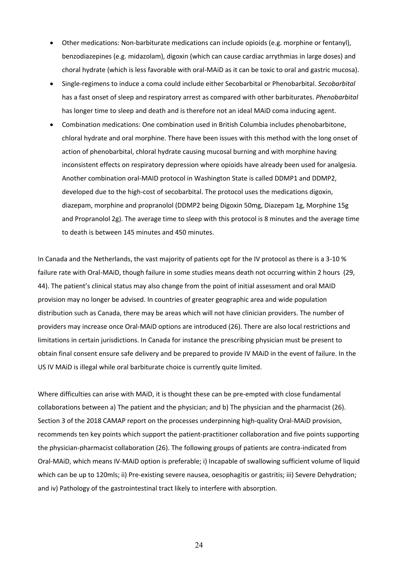- Other medications: Non-barbiturate medications can include opioids (e.g. morphine or fentanyl), benzodiazepines (e.g. midazolam), digoxin (which can cause cardiac arrythmias in large doses) and choral hydrate (which is less favorable with oral-MAiD as it can be toxic to oral and gastric mucosa).
- Single-regimens to induce a coma could include either Secobarbital or Phenobarbital. *Secobarbital* has a fast onset of sleep and respiratory arrest as compared with other barbiturates. *Phenobarbital* has longer time to sleep and death and is therefore not an ideal MAiD coma inducing agent.
- Combination medications: One combination used in British Columbia includes phenobarbitone, chloral hydrate and oral morphine. There have been issues with this method with the long onset of action of phenobarbital, chloral hydrate causing mucosal burning and with morphine having inconsistent effects on respiratory depression where opioids have already been used for analgesia. Another combination oral-MAID protocol in Washington State is called DDMP1 and DDMP2, developed due to the high-cost of secobarbital. The protocol uses the medications digoxin, diazepam, morphine and propranolol (DDMP2 being Digoxin 50mg, Diazepam 1g, Morphine 15g and Propranolol 2g). The average time to sleep with this protocol is 8 minutes and the average time to death is between 145 minutes and 450 minutes.

In Canada and the Netherlands, the vast majority of patients opt for the IV protocol as there is a 3-10 % failure rate with Oral-MAiD, though failure in some studies means death not occurring within 2 hours (29, 44). The patient's clinical status may also change from the point of initial assessment and oral MAID provision may no longer be advised. In countries of greater geographic area and wide population distribution such as Canada, there may be areas which will not have clinician providers. The number of providers may increase once Oral-MAiD options are introduced (26). There are also local restrictions and limitations in certain jurisdictions. In Canada for instance the prescribing physician must be present to obtain final consent ensure safe delivery and be prepared to provide IV MAiD in the event of failure. In the US IV MAiD is illegal while oral barbiturate choice is currently quite limited.

Where difficulties can arise with MAiD, it is thought these can be pre-empted with close fundamental collaborations between a) The patient and the physician; and b) The physician and the pharmacist (26). Section 3 of the 2018 CAMAP report on the processes underpinning high-quality Oral-MAiD provision, recommends ten key points which support the patient-practitioner collaboration and five points supporting the physician-pharmacist collaboration (26). The following groups of patients are contra-indicated from Oral-MAiD, which means IV-MAiD option is preferable; i) Incapable of swallowing sufficient volume of liquid which can be up to 120mls; ii) Pre-existing severe nausea, oesophagitis or gastritis; iii) Severe Dehydration; and iv) Pathology of the gastrointestinal tract likely to interfere with absorption.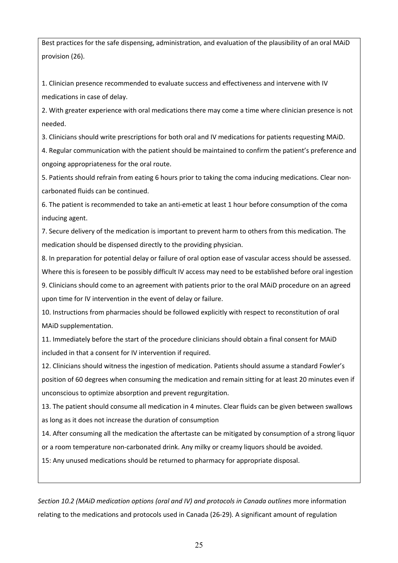Best practices for the safe dispensing, administration, and evaluation of the plausibility of an oral MAiD provision (26).

1. Clinician presence recommended to evaluate success and effectiveness and intervene with IV medications in case of delay.

2. With greater experience with oral medications there may come a time where clinician presence is not needed.

3. Clinicians should write prescriptions for both oral and IV medications for patients requesting MAiD.

4. Regular communication with the patient should be maintained to confirm the patient's preference and ongoing appropriateness for the oral route.

5. Patients should refrain from eating 6 hours prior to taking the coma inducing medications. Clear noncarbonated fluids can be continued.

6. The patient is recommended to take an anti-emetic at least 1 hour before consumption of the coma inducing agent.

7. Secure delivery of the medication is important to prevent harm to others from this medication. The medication should be dispensed directly to the providing physician.

8. In preparation for potential delay or failure of oral option ease of vascular access should be assessed. Where this is foreseen to be possibly difficult IV access may need to be established before oral ingestion

9. Clinicians should come to an agreement with patients prior to the oral MAiD procedure on an agreed upon time for IV intervention in the event of delay or failure.

10. Instructions from pharmacies should be followed explicitly with respect to reconstitution of oral MAiD supplementation.

11. Immediately before the start of the procedure clinicians should obtain a final consent for MAiD included in that a consent for IV intervention if required.

12. Clinicians should witness the ingestion of medication. Patients should assume a standard Fowler's position of 60 degrees when consuming the medication and remain sitting for at least 20 minutes even if unconscious to optimize absorption and prevent regurgitation.

13. The patient should consume all medication in 4 minutes. Clear fluids can be given between swallows as long as it does not increase the duration of consumption

14. After consuming all the medication the aftertaste can be mitigated by consumption of a strong liquor or a room temperature non-carbonated drink. Any milky or creamy liquors should be avoided.

15: Any unused medications should be returned to pharmacy for appropriate disposal.

*Section 10.2 (MAiD medication options (oral and IV) and protocols in Canada outlines* more information relating to the medications and protocols used in Canada (26-29)*.* A significant amount of regulation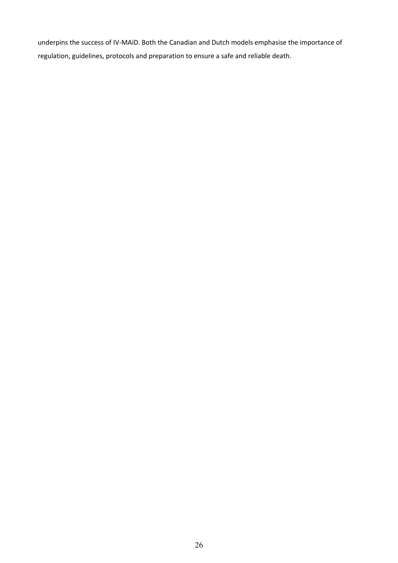underpins the success of IV-MAiD. Both the Canadian and Dutch models emphasise the importance of regulation, guidelines, protocols and preparation to ensure a safe and reliable death.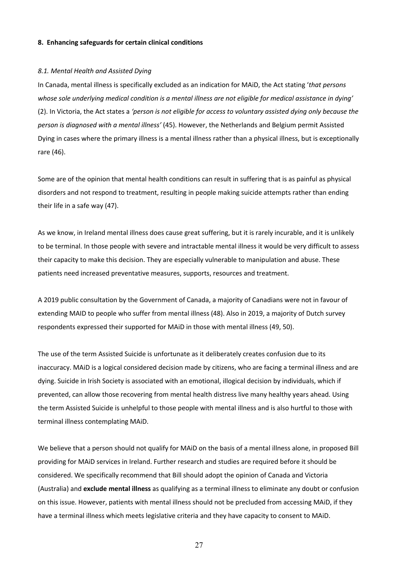#### **8. Enhancing safeguards for certain clinical conditions**

#### *8.1. Mental Health and Assisted Dying*

In Canada, mental illness is specifically excluded as an indication for MAiD, the Act stating '*that persons whose sole underlying medical condition is a mental illness are not eligible for medical assistance in dying'*  (2). In Victoria, the Act states a *'person is not eligible for access to voluntary assisted dying only because the person is diagnosed with a mental illness'* (45). However, the Netherlands and Belgium permit Assisted Dying in cases where the primary illness is a mental illness rather than a physical illness, but is exceptionally rare (46).

Some are of the opinion that mental health conditions can result in suffering that is as painful as physical disorders and not respond to treatment, resulting in people making suicide attempts rather than ending their life in a safe way (47).

As we know, in Ireland mental illness does cause great suffering, but it is rarely incurable, and it is unlikely to be terminal. In those people with severe and intractable mental illness it would be very difficult to assess their capacity to make this decision. They are especially vulnerable to manipulation and abuse. These patients need increased preventative measures, supports, resources and treatment.

A 2019 public consultation by the Government of Canada, a majority of Canadians were not in favour of extending MAID to people who suffer from mental illness (48). Also in 2019, a majority of Dutch survey respondents expressed their supported for MAiD in those with mental illness (49, 50).

The use of the term Assisted Suicide is unfortunate as it deliberately creates confusion due to its inaccuracy. MAiD is a logical considered decision made by citizens, who are facing a terminal illness and are dying. Suicide in Irish Society is associated with an emotional, illogical decision by individuals, which if prevented, can allow those recovering from mental health distress live many healthy years ahead. Using the term Assisted Suicide is unhelpful to those people with mental illness and is also hurtful to those with terminal illness contemplating MAiD.

We believe that a person should not qualify for MAiD on the basis of a mental illness alone, in proposed Bill providing for MAiD services in Ireland. Further research and studies are required before it should be considered. We specifically recommend that Bill should adopt the opinion of Canada and Victoria (Australia) and **exclude mental illness** as qualifying as a terminal illness to eliminate any doubt or confusion on this issue. However, patients with mental illness should not be precluded from accessing MAiD, if they have a terminal illness which meets legislative criteria and they have capacity to consent to MAiD.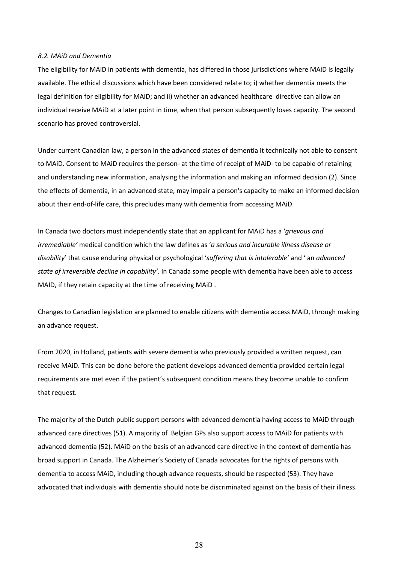#### *8.2. MAiD and Dementia*

The eligibility for MAiD in patients with dementia, has differed in those jurisdictions where MAiD is legally available. The ethical discussions which have been considered relate to; i) whether dementia meets the legal definition for eligibility for MAiD; and ii) whether an advanced healthcare directive can allow an individual receive MAiD at a later point in time, when that person subsequently loses capacity. The second scenario has proved controversial.

Under current Canadian law, a person in the advanced states of dementia it technically not able to consent to MAiD. Consent to MAiD requires the person- at the time of receipt of MAiD- to be capable of retaining and understanding new information, analysing the information and making an informed decision (2). Since the effects of dementia, in an advanced state, may impair a person's capacity to make an informed decision about their end-of-life care, this precludes many with dementia from accessing MAiD.

In Canada two doctors must independently state that an applicant for MAiD has a '*grievous and irremediable'* medical condition which the law defines as '*a serious and incurable illness disease or disability*' that cause enduring physical or psychological '*suffering that is intolerable'* and ' an *advanced state of irreversible decline in capability'*. In Canada some people with dementia have been able to access MAID, if they retain capacity at the time of receiving MAiD .

Changes to Canadian legislation are planned to enable citizens with dementia access MAiD, through making an advance request.

From 2020, in Holland, patients with severe dementia who previously provided a written request, can receive MAiD. This can be done before the patient develops advanced dementia provided certain legal requirements are met even if the patient's subsequent condition means they become unable to confirm that request.

The majority of the Dutch public support persons with advanced dementia having access to MAiD through advanced care directives (51). A majority of Belgian GPs also support access to MAiD for patients with advanced dementia (52). MAiD on the basis of an advanced care directive in the context of dementia has broad support in Canada. The Alzheimer's Society of Canada advocates for the rights of persons with dementia to access MAiD, including though advance requests, should be respected (53). They have advocated that individuals with dementia should note be discriminated against on the basis of their illness.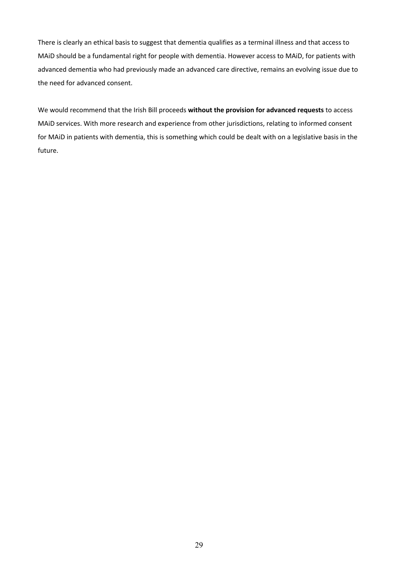There is clearly an ethical basis to suggest that dementia qualifies as a terminal illness and that access to MAiD should be a fundamental right for people with dementia. However access to MAiD, for patients with advanced dementia who had previously made an advanced care directive, remains an evolving issue due to the need for advanced consent.

We would recommend that the Irish Bill proceeds **without the provision for advanced requests** to access MAiD services. With more research and experience from other jurisdictions, relating to informed consent for MAiD in patients with dementia, this is something which could be dealt with on a legislative basis in the future.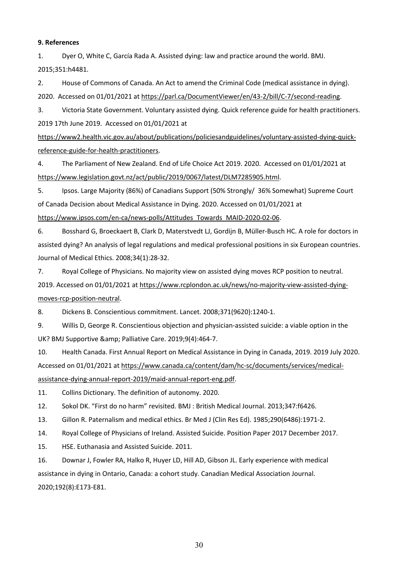#### **9. References**

1. Dyer O, White C, García Rada A. Assisted dying: law and practice around the world. BMJ. 2015;351:h4481.

2. House of Commons of Canada. An Act to amend the Criminal Code (medical assistance in dying). 2020. Accessed on 01/01/2021 at https://parl.ca/DocumentViewer/en/43-2/bill/C-7/second-reading.

3. Victoria State Government. Voluntary assisted dying. Quick reference guide for health practitioners. 2019 17th June 2019. Accessed on 01/01/2021 at

https://www2.health.vic.gov.au/about/publications/policiesandguidelines/voluntary-assisted-dying-quickreference-guide-for-health-practitioners.

4. The Parliament of New Zealand. End of Life Choice Act 2019. 2020. Accessed on 01/01/2021 at https://www.legislation.govt.nz/act/public/2019/0067/latest/DLM7285905.html.

5. Ipsos. Large Majority (86%) of Canadians Support (50% Strongly/ 36% Somewhat) Supreme Court of Canada Decision about Medical Assistance in Dying. 2020. Accessed on 01/01/2021 at https://www.ipsos.com/en-ca/news-polls/Attitudes\_Towards\_MAID-2020-02-06.

6. Bosshard G, Broeckaert B, Clark D, Materstvedt LJ, Gordijn B, Müller-Busch HC. A role for doctors in assisted dying? An analysis of legal regulations and medical professional positions in six European countries. Journal of Medical Ethics. 2008;34(1):28-32.

7. Royal College of Physicians. No majority view on assisted dying moves RCP position to neutral.

2019. Accessed on 01/01/2021 at https://www.rcplondon.ac.uk/news/no-majority-view-assisted-dyingmoves-rcp-position-neutral.

8. Dickens B. Conscientious commitment. Lancet. 2008;371(9620):1240-1.

9. Willis D, George R. Conscientious objection and physician-assisted suicide: a viable option in the UK? BMJ Supportive & amp; Palliative Care. 2019;9(4):464-7.

10. Health Canada. First Annual Report on Medical Assistance in Dying in Canada, 2019. 2019 July 2020. Accessed on 01/01/2021 at https://www.canada.ca/content/dam/hc-sc/documents/services/medicalassistance-dying-annual-report-2019/maid-annual-report-eng.pdf.

11. Collins Dictionary. The definition of autonomy. 2020.

12. Sokol DK. "First do no harm" revisited. BMJ : British Medical Journal. 2013;347:f6426.

13. Gillon R. Paternalism and medical ethics. Br Med J (Clin Res Ed). 1985;290(6486):1971-2.

14. Royal College of Physicians of Ireland. Assisted Suicide. Position Paper 2017 December 2017.

15. HSE. Euthanasia and Assisted Suicide. 2011.

16. Downar J, Fowler RA, Halko R, Huyer LD, Hill AD, Gibson JL. Early experience with medical assistance in dying in Ontario, Canada: a cohort study. Canadian Medical Association Journal. 2020;192(8):E173-E81.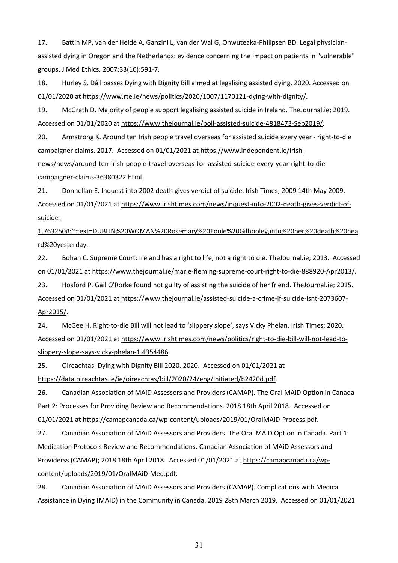17. Battin MP, van der Heide A, Ganzini L, van der Wal G, Onwuteaka-Philipsen BD. Legal physicianassisted dying in Oregon and the Netherlands: evidence concerning the impact on patients in "vulnerable" groups. J Med Ethics. 2007;33(10):591-7.

18. Hurley S. Dáil passes Dying with Dignity Bill aimed at legalising assisted dying. 2020. Accessed on 01/01/2020 at https://www.rte.ie/news/politics/2020/1007/1170121-dying-with-dignity/.

19. McGrath D. Majority of people support legalising assisted suicide in Ireland. TheJournal.ie; 2019. Accessed on 01/01/2020 at https://www.thejournal.ie/poll-assisted-suicide-4818473-Sep2019/.

20. Armstrong K. Around ten Irish people travel overseas for assisted suicide every year - right-to-die campaigner claims. 2017. Accessed on 01/01/2021 at https://www.independent.ie/irish-

news/news/around-ten-irish-people-travel-overseas-for-assisted-suicide-every-year-right-to-diecampaigner-claims-36380322.html.

21. Donnellan E. Inquest into 2002 death gives verdict of suicide. Irish Times; 2009 14th May 2009. Accessed on 01/01/2021 at https://www.irishtimes.com/news/inquest-into-2002-death-gives-verdict-ofsuicide-

1.763250#:~:text=DUBLIN%20WOMAN%20Rosemary%20Toole%20Gilhooley,into%20her%20death%20hea rd%20yesterday.

22. Bohan C. Supreme Court: Ireland has a right to life, not a right to die. TheJournal.ie; 2013. Accessed on 01/01/2021 at https://www.thejournal.ie/marie-fleming-supreme-court-right-to-die-888920-Apr2013/.

23. Hosford P. Gail O'Rorke found not guilty of assisting the suicide of her friend. TheJournal.ie; 2015. Accessed on 01/01/2021 at https://www.thejournal.ie/assisted-suicide-a-crime-if-suicide-isnt-2073607- Apr2015/.

24. McGee H. Right-to-die Bill will not lead to 'slippery slope', says Vicky Phelan. Irish Times; 2020. Accessed on 01/01/2021 at https://www.irishtimes.com/news/politics/right-to-die-bill-will-not-lead-toslippery-slope-says-vicky-phelan-1.4354486.

25. Oireachtas. Dying with Dignity Bill 2020. 2020. Accessed on 01/01/2021 at https://data.oireachtas.ie/ie/oireachtas/bill/2020/24/eng/initiated/b2420d.pdf.

26. Canadian Association of MAiD Assessors and Providers (CAMAP). The Oral MAiD Option in Canada Part 2: Processes for Providing Review and Recommendations. 2018 18th April 2018. Accessed on 01/01/2021 at https://camapcanada.ca/wp-content/uploads/2019/01/OralMAiD-Process.pdf.

27. Canadian Association of MAiD Assessors and Providers. The Oral MAiD Option in Canada. Part 1: Medication Protocols Review and Recommendations. Canadian Association of MAiD Assessors and Providerss (CAMAP); 2018 18th April 2018. Accessed 01/01/2021 at https://camapcanada.ca/wpcontent/uploads/2019/01/OralMAiD-Med.pdf.

28. Canadian Association of MAiD Assessors and Providers (CAMAP). Complications with Medical Assistance in Dying (MAID) in the Community in Canada. 2019 28th March 2019. Accessed on 01/01/2021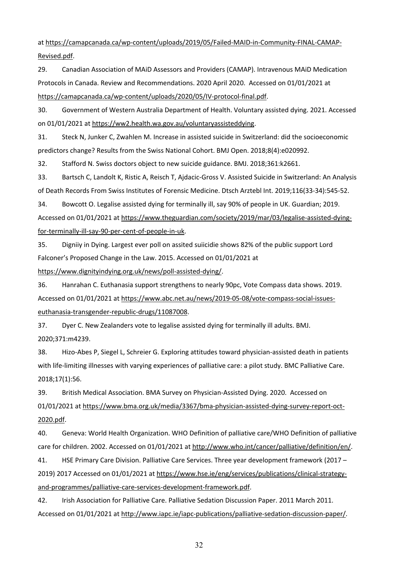at https://camapcanada.ca/wp-content/uploads/2019/05/Failed-MAID-in-Community-FINAL-CAMAP-Revised.pdf.

29. Canadian Association of MAiD Assessors and Providers (CAMAP). Intravenous MAiD Medication Protocols in Canada. Review and Recommendations. 2020 April 2020. Accessed on 01/01/2021 at https://camapcanada.ca/wp-content/uploads/2020/05/IV-protocol-final.pdf.

30. Government of Western Australia Department of Health. Voluntary assisted dying. 2021. Accessed on 01/01/2021 at https://ww2.health.wa.gov.au/voluntaryassisteddying.

31. Steck N, Junker C, Zwahlen M. Increase in assisted suicide in Switzerland: did the socioeconomic predictors change? Results from the Swiss National Cohort. BMJ Open. 2018;8(4):e020992.

32. Stafford N. Swiss doctors object to new suicide guidance. BMJ. 2018;361:k2661.

33. Bartsch C, Landolt K, Ristic A, Reisch T, Ajdacic-Gross V. Assisted Suicide in Switzerland: An Analysis of Death Records From Swiss Institutes of Forensic Medicine. Dtsch Arztebl Int. 2019;116(33-34):545-52.

34. Bowcott O. Legalise assisted dying for terminally ill, say 90% of people in UK. Guardian; 2019. Accessed on 01/01/2021 at https://www.theguardian.com/society/2019/mar/03/legalise-assisted-dyingfor-terminally-ill-say-90-per-cent-of-people-in-uk.

35. Digniiy in Dying. Largest ever poll on assited suiicidie shows 82% of the public support Lord Falconer's Proposed Change in the Law. 2015. Accessed on 01/01/2021 at https://www.dignityindying.org.uk/news/poll-assisted-dying/.

36. Hanrahan C. Euthanasia support strengthens to nearly 90pc, Vote Compass data shows. 2019. Accessed on 01/01/2021 at https://www.abc.net.au/news/2019-05-08/vote-compass-social-issueseuthanasia-transgender-republic-drugs/11087008.

37. Dyer C. New Zealanders vote to legalise assisted dying for terminally ill adults. BMJ. 2020;371:m4239.

38. Hizo-Abes P, Siegel L, Schreier G. Exploring attitudes toward physician-assisted death in patients with life-limiting illnesses with varying experiences of palliative care: a pilot study. BMC Palliative Care. 2018;17(1):56.

39. British Medical Association. BMA Survey on Physician-Assisted Dying. 2020. Accessed on 01/01/2021 at https://www.bma.org.uk/media/3367/bma-physician-assisted-dying-survey-report-oct-2020.pdf.

40. Geneva: World Health Organization. WHO Definition of palliative care/WHO Definition of palliative care for children. 2002. Accessed on 01/01/2021 at http://www.who.int/cancer/palliative/definition/en/.

41. HSE Primary Care Division. Palliative Care Services. Three year development framework (2017 – 2019) 2017 Accessed on 01/01/2021 at https://www.hse.ie/eng/services/publications/clinical-strategyand-programmes/palliative-care-services-development-framework.pdf.

42. Irish Association for Palliative Care. Palliative Sedation Discussion Paper. 2011 March 2011. Accessed on 01/01/2021 at http://www.iapc.ie/iapc-publications/palliative-sedation-discussion-paper/.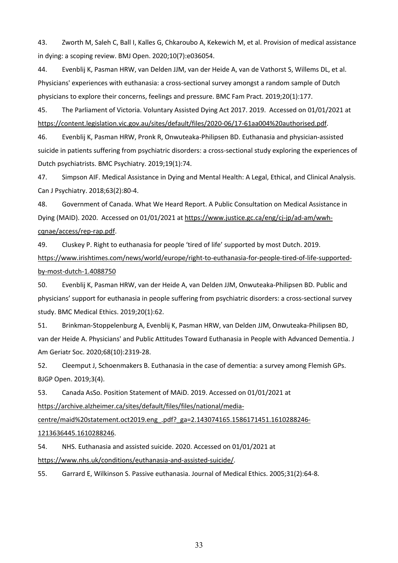43. Zworth M, Saleh C, Ball I, Kalles G, Chkaroubo A, Kekewich M, et al. Provision of medical assistance in dying: a scoping review. BMJ Open. 2020;10(7):e036054.

44. Evenblij K, Pasman HRW, van Delden JJM, van der Heide A, van de Vathorst S, Willems DL, et al. Physicians' experiences with euthanasia: a cross-sectional survey amongst a random sample of Dutch physicians to explore their concerns, feelings and pressure. BMC Fam Pract. 2019;20(1):177.

45. The Parliament of Victoria. Voluntary Assisted Dying Act 2017. 2019. Accessed on 01/01/2021 at https://content.legislation.vic.gov.au/sites/default/files/2020-06/17-61aa004%20authorised.pdf.

46. Evenblij K, Pasman HRW, Pronk R, Onwuteaka-Philipsen BD. Euthanasia and physician-assisted suicide in patients suffering from psychiatric disorders: a cross-sectional study exploring the experiences of Dutch psychiatrists. BMC Psychiatry. 2019;19(1):74.

47. Simpson AIF. Medical Assistance in Dying and Mental Health: A Legal, Ethical, and Clinical Analysis. Can J Psychiatry. 2018;63(2):80-4.

48. Government of Canada. What We Heard Report. A Public Consultation on Medical Assistance in Dying (MAID). 2020. Accessed on 01/01/2021 at https://www.justice.gc.ca/eng/cj-jp/ad-am/wwhcqnae/access/rep-rap.pdf.

49. Cluskey P. Right to euthanasia for people 'tired of life' supported by most Dutch. 2019. https://www.irishtimes.com/news/world/europe/right-to-euthanasia-for-people-tired-of-life-supportedby-most-dutch-1.4088750

50. Evenblij K, Pasman HRW, van der Heide A, van Delden JJM, Onwuteaka-Philipsen BD. Public and physicians' support for euthanasia in people suffering from psychiatric disorders: a cross-sectional survey study. BMC Medical Ethics. 2019;20(1):62.

51. Brinkman-Stoppelenburg A, Evenblij K, Pasman HRW, van Delden JJM, Onwuteaka-Philipsen BD, van der Heide A. Physicians' and Public Attitudes Toward Euthanasia in People with Advanced Dementia. J Am Geriatr Soc. 2020;68(10):2319-28.

52. Cleemput J, Schoenmakers B. Euthanasia in the case of dementia: a survey among Flemish GPs. BJGP Open. 2019;3(4).

53. Canada AsSo. Position Statement of MAiD. 2019. Accessed on 01/01/2021 at https://archive.alzheimer.ca/sites/default/files/files/national/media-

centre/maid%20statement.oct2019.eng\_.pdf?\_ga=2.143074165.1586171451.1610288246-

1213636445.1610288246.

54. NHS. Euthanasia and assisted suicide. 2020. Accessed on 01/01/2021 at https://www.nhs.uk/conditions/euthanasia-and-assisted-suicide/.

55. Garrard E, Wilkinson S. Passive euthanasia. Journal of Medical Ethics. 2005;31(2):64-8.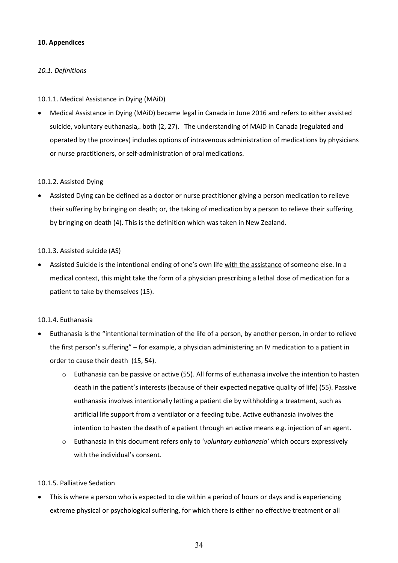### **10. Appendices**

# *10.1. Definitions*

## 10.1.1. Medical Assistance in Dying (MAiD)

• Medical Assistance in Dying (MAiD) became legal in Canada in June 2016 and refers to either assisted suicide, voluntary euthanasia,. both (2, 27). The understanding of MAiD in Canada (regulated and operated by the provinces) includes options of intravenous administration of medications by physicians or nurse practitioners, or self-administration of oral medications.

#### 10.1.2. Assisted Dying

• Assisted Dying can be defined as a doctor or nurse practitioner giving a person medication to relieve their suffering by bringing on death; or, the taking of medication by a person to relieve their suffering by bringing on death (4). This is the definition which was taken in New Zealand.

#### 10.1.3. Assisted suicide (AS)

• Assisted Suicide is the intentional ending of one's own life with the assistance of someone else. In a medical context, this might take the form of a physician prescribing a lethal dose of medication for a patient to take by themselves (15).

## 10.1.4. Euthanasia

- Euthanasia is the "intentional termination of the life of a person, by another person, in order to relieve the first person's suffering" – for example, a physician administering an IV medication to a patient in order to cause their death (15, 54).
	- o Euthanasia can be passive or active (55). All forms of euthanasia involve the intention to hasten death in the patient's interests (because of their expected negative quality of life) (55). Passive euthanasia involves intentionally letting a patient die by withholding a treatment, such as artificial life support from a ventilator or a feeding tube. Active euthanasia involves the intention to hasten the death of a patient through an active means e.g. injection of an agent.
	- o Euthanasia in this document refers only to '*voluntary euthanasia'* which occurs expressively with the individual's consent.

#### 10.1.5. Palliative Sedation

• This is where a person who is expected to die within a period of hours or days and is experiencing extreme physical or psychological suffering, for which there is either no effective treatment or all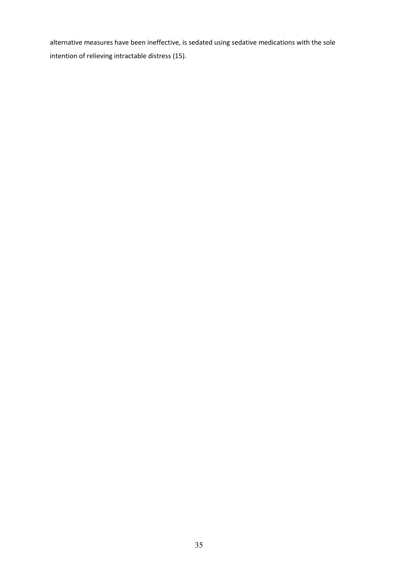alternative measures have been ineffective, is sedated using sedative medications with the sole intention of relieving intractable distress (15).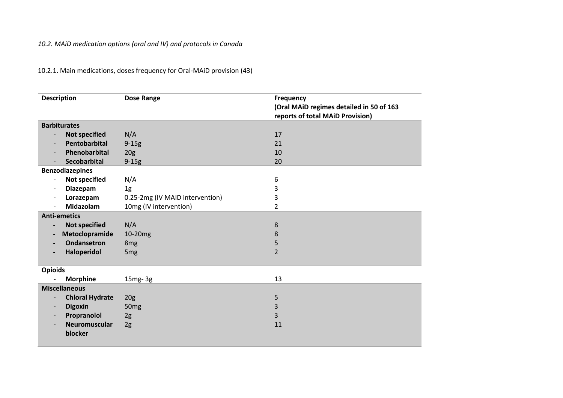| 10.2.1. Main medications, doses frequency for Oral-MAiD provision (43) |  |  |  |
|------------------------------------------------------------------------|--|--|--|
|------------------------------------------------------------------------|--|--|--|

| <b>Description</b>                                 | <b>Dose Range</b>               | <b>Frequency</b><br>(Oral MAiD regimes detailed in 50 of 163<br>reports of total MAiD Provision) |  |
|----------------------------------------------------|---------------------------------|--------------------------------------------------------------------------------------------------|--|
| <b>Barbiturates</b>                                |                                 |                                                                                                  |  |
| <b>Not specified</b><br>$\overline{\phantom{a}}$   | N/A                             | 17                                                                                               |  |
| Pentobarbital<br>$\overline{\phantom{a}}$          | $9-15g$                         | 21                                                                                               |  |
| Phenobarbital                                      | 20 <sub>g</sub>                 | 10                                                                                               |  |
| <b>Secobarbital</b>                                | $9-15g$                         | 20                                                                                               |  |
| <b>Benzodiazepines</b>                             |                                 |                                                                                                  |  |
| <b>Not specified</b><br>$\overline{\phantom{a}}$   | N/A                             | 6                                                                                                |  |
| Diazepam<br>$\overline{a}$                         | 1g                              | 3                                                                                                |  |
| Lorazepam<br>$\overline{\phantom{a}}$              | 0.25-2mg (IV MAID intervention) | 3                                                                                                |  |
| <b>Midazolam</b>                                   | 10mg (IV intervention)          | $\overline{2}$                                                                                   |  |
| <b>Anti-emetics</b>                                |                                 |                                                                                                  |  |
| <b>Not specified</b><br>$\blacksquare$             | N/A                             | 8                                                                                                |  |
| Metoclopramide<br>$\blacksquare$                   | 10-20mg                         | 8                                                                                                |  |
| Ondansetron                                        | 8 <sub>mg</sub>                 | 5                                                                                                |  |
| Haloperidol                                        | 5 <sub>mg</sub>                 | $\overline{2}$                                                                                   |  |
| <b>Opioids</b>                                     |                                 |                                                                                                  |  |
| <b>Morphine</b>                                    | $15mg-3g$                       | 13                                                                                               |  |
| <b>Miscellaneous</b>                               |                                 |                                                                                                  |  |
| <b>Chloral Hydrate</b><br>$\overline{\phantom{0}}$ | 20 <sub>g</sub>                 | 5                                                                                                |  |
| <b>Digoxin</b><br>$\overline{\phantom{0}}$         | 50 <sub>mg</sub>                | 3                                                                                                |  |
| Propranolol<br>$\overline{\phantom{0}}$            | 2g                              | 3                                                                                                |  |
| Neuromuscular                                      | 2g                              | 11                                                                                               |  |
| blocker                                            |                                 |                                                                                                  |  |
|                                                    |                                 |                                                                                                  |  |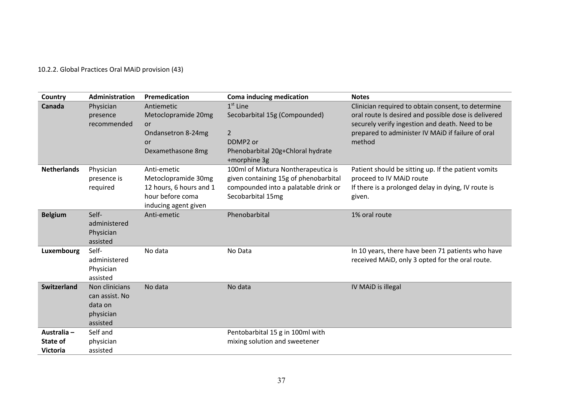# 10.2.2. Global Practices Oral MAiD provision (43)

| Country                                    | <b>Administration</b>                                                | Premedication                                                                                             | Coma inducing medication                                                                                                                   | <b>Notes</b>                                                                                                                                                                                                                 |
|--------------------------------------------|----------------------------------------------------------------------|-----------------------------------------------------------------------------------------------------------|--------------------------------------------------------------------------------------------------------------------------------------------|------------------------------------------------------------------------------------------------------------------------------------------------------------------------------------------------------------------------------|
| Canada                                     | Physician<br>presence<br>recommended                                 | Antiemetic<br>Metoclopramide 20mg<br>or<br>Ondansetron 8-24mg<br><b>or</b><br>Dexamethasone 8mg           | $1st$ Line<br>Secobarbital 15g (Compounded)<br>$\overline{2}$<br>DDMP <sub>2</sub> or<br>Phenobarbital 20g+Chloral hydrate<br>+morphine 3g | Clinician required to obtain consent, to determine<br>oral route Is desired and possible dose is delivered<br>securely verify ingestion and death. Need to be<br>prepared to administer IV MAID if failure of oral<br>method |
| <b>Netherlands</b>                         | Physician<br>presence is<br>required                                 | Anti-emetic<br>Metoclopramide 30mg<br>12 hours, 6 hours and 1<br>hour before coma<br>inducing agent given | 100ml of Mixtura Nontherapeutica is<br>given containing 15g of phenobarbital<br>compounded into a palatable drink or<br>Secobarbital 15mg  | Patient should be sitting up. If the patient vomits<br>proceed to IV MAiD route<br>If there is a prolonged delay in dying, IV route is<br>given.                                                                             |
| <b>Belgium</b>                             | Self-<br>administered<br>Physician<br>assisted                       | Anti-emetic                                                                                               | Phenobarbital                                                                                                                              | 1% oral route                                                                                                                                                                                                                |
| Luxembourg                                 | Self-<br>administered<br>Physician<br>assisted                       | No data                                                                                                   | No Data                                                                                                                                    | In 10 years, there have been 71 patients who have<br>received MAiD, only 3 opted for the oral route.                                                                                                                         |
| <b>Switzerland</b>                         | Non clinicians<br>can assist. No<br>data on<br>physician<br>assisted | No data                                                                                                   | No data                                                                                                                                    | IV MAID is illegal                                                                                                                                                                                                           |
| Australia -<br>State of<br><b>Victoria</b> | Self and<br>physician<br>assisted                                    |                                                                                                           | Pentobarbital 15 g in 100ml with<br>mixing solution and sweetener                                                                          |                                                                                                                                                                                                                              |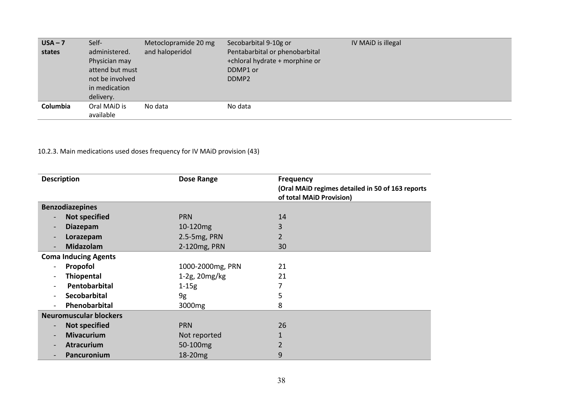| $USA - 7$ | Self-           | Metoclopramide 20 mg | Secobarbital 9-10g or          | IV MAID is illegal |
|-----------|-----------------|----------------------|--------------------------------|--------------------|
| states    | administered.   | and haloperidol      | Pentabarbital or phenobarbital |                    |
|           | Physician may   |                      | +chloral hydrate + morphine or |                    |
|           | attend but must |                      | DDMP1 or                       |                    |
|           | not be involved |                      | DDMP <sub>2</sub>              |                    |
|           | in medication   |                      |                                |                    |
|           | delivery.       |                      |                                |                    |
| Columbia  | Oral MAiD is    | No data              | No data                        |                    |
|           | available       |                      |                                |                    |

# 10.2.3. Main medications used doses frequency for IV MAiD provision (43)

| <b>Description</b>                               | Dose Range         | <b>Frequency</b><br>(Oral MAID regimes detailed in 50 of 163 reports<br>of total MAID Provision) |
|--------------------------------------------------|--------------------|--------------------------------------------------------------------------------------------------|
| <b>Benzodiazepines</b>                           |                    |                                                                                                  |
| <b>Not specified</b>                             | <b>PRN</b>         | 14                                                                                               |
| <b>Diazepam</b>                                  | 10-120mg           | 3                                                                                                |
| Lorazepam                                        | 2.5-5mg, PRN       | 2                                                                                                |
| Midazolam                                        | 2-120mg, PRN       | 30                                                                                               |
| <b>Coma Inducing Agents</b>                      |                    |                                                                                                  |
| Propofol                                         | 1000-2000mg, PRN   | 21                                                                                               |
| <b>Thiopental</b>                                | $1-2g$ , $20mg/kg$ | 21                                                                                               |
| Pentobarbital                                    | $1 - 15g$          |                                                                                                  |
| <b>Secobarbital</b>                              | 9g                 | 5                                                                                                |
| Phenobarbital                                    | 3000 <sub>mg</sub> | 8                                                                                                |
| <b>Neuromuscular blockers</b>                    |                    |                                                                                                  |
| <b>Not specified</b><br>$\overline{\phantom{a}}$ | <b>PRN</b>         | 26                                                                                               |
| <b>Mivacurium</b>                                | Not reported       |                                                                                                  |
| <b>Atracurium</b>                                | 50-100mg           | 2                                                                                                |
| Pancuronium                                      | 18-20mg            | 9                                                                                                |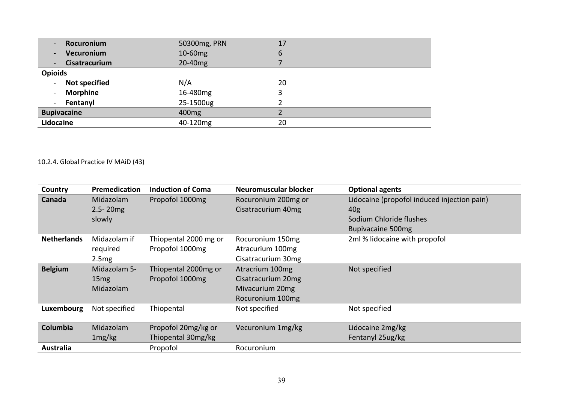| Rocuronium<br>$\sim$           | 50300mg, PRN      | 17 |  |
|--------------------------------|-------------------|----|--|
| Vecuronium<br>$\sim$           | 10-60mg           | 6  |  |
| Cisatracurium<br>$ \,$         | 20-40mg           |    |  |
| <b>Opioids</b>                 |                   |    |  |
| <b>Not specified</b><br>$\sim$ | N/A               | 20 |  |
| <b>Morphine</b><br>$\sim$      | 16-480mg          | 3  |  |
| Fentanyl<br>$\sim$             | 25-1500ug         |    |  |
| <b>Bupivacaine</b>             | 400 <sub>mg</sub> |    |  |
| Lidocaine                      | 40-120mg          | 20 |  |

# 10.2.4. Global Practice IV MAiD (43)

| Country            | Premedication | <b>Induction of Coma</b> | Neuromuscular blocker | <b>Optional agents</b>                      |
|--------------------|---------------|--------------------------|-----------------------|---------------------------------------------|
| Canada             | Midazolam     | Propofol 1000mg          | Rocuronium 200mg or   | Lidocaine (propofol induced injection pain) |
|                    | $2.5 - 20mg$  |                          | Cisatracurium 40mg    | 40 <sub>g</sub>                             |
|                    | slowly        |                          |                       | Sodium Chloride flushes                     |
|                    |               |                          |                       | <b>Bupivacaine 500mg</b>                    |
| <b>Netherlands</b> | Midazolam if  | Thiopental 2000 mg or    | Rocuronium 150mg      | 2ml % lidocaine with propofol               |
|                    | required      | Propofol 1000mg          | Atracurium 100mg      |                                             |
|                    | 2.5mg         |                          | Cisatracurium 30mg    |                                             |
| <b>Belgium</b>     | Midazolam 5-  | Thiopental 2000mg or     | Atracrium 100mg       | Not specified                               |
|                    | 15mg          | Propofol 1000mg          | Cisatracurium 20mg    |                                             |
|                    | Midazolam     |                          | Mivacurium 20mg       |                                             |
|                    |               |                          | Rocuronium 100mg      |                                             |
| Luxembourg         | Not specified | Thiopental               | Not specified         | Not specified                               |
|                    |               |                          |                       |                                             |
| Columbia           | Midazolam     | Propofol 20mg/kg or      | Vecuronium 1mg/kg     | Lidocaine 2mg/kg                            |
|                    | 1mg/kg        | Thiopental 30mg/kg       |                       | Fentanyl 25ug/kg                            |
| Australia          |               | Propofol                 | Rocuronium            |                                             |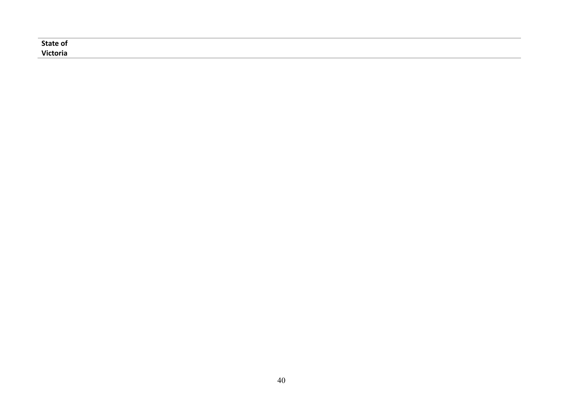| <b>State of</b> |  |  |
|-----------------|--|--|
| <b>Victoria</b> |  |  |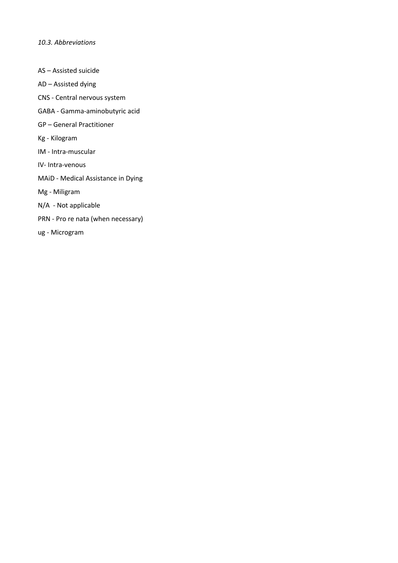*10.3. Abbreviations*

- AS Assisted suicide
- AD Assisted dying
- CNS Central nervous system
- GABA Gamma-aminobutyric acid
- GP General Practitioner
- Kg Kilogram
- IM Intra-muscular
- IV- Intra-venous
- MAiD Medical Assistance in Dying
- Mg Miligram
- N/A Not applicable
- PRN Pro re nata (when necessary)
- ug Microgram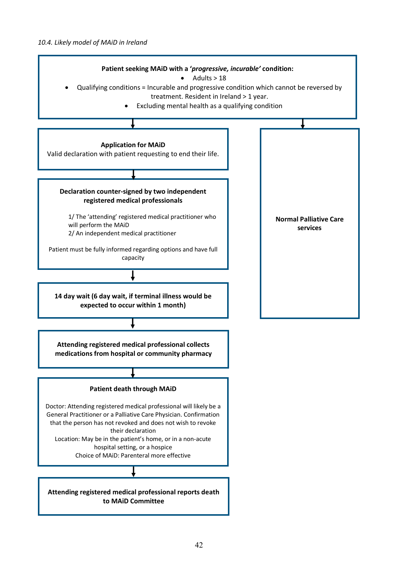